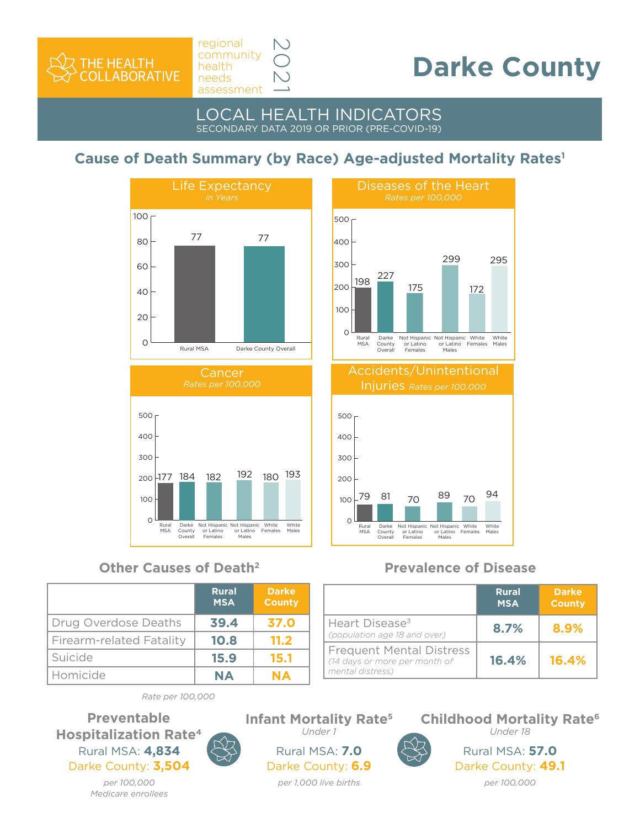

# **Darke County**

#### LOCAL HEALTH INDICATORS SECONDARY DATA 2019 OR PRIOR (PRE-COVID-19)

2021

# **Cause of Death Summary (by Race) Age-adjusted Mortality Rates1**





## **Other Causes of Death2 Prevalence of Disease**

|                          | <b>Rural</b><br><b>MSA</b> | <b>Darke</b><br><b>County</b> |
|--------------------------|----------------------------|-------------------------------|
| Drug Overdose Deaths     | 39.4                       | 37.0                          |
| Firearm-related Fatality | 10.8                       | 11.2                          |
| Suicide                  | 15.9                       | 15.1                          |
| Homicide                 | <b>NA</b>                  | <b>NA</b>                     |

#### $\Omega$ 100 200 300 400 500 White Males Not Hispanic White<br>or Latino Females<br>Males Not Hispanic or Latino Females Darke County Overall Rural MSA 227 299 175 295 172 Diseases of the Heart *Rates per 100,000* 198 Accidents/Unintentional



|                                                                                      | <b>Rural</b><br><b>MSA</b> | <b>Darke</b><br><b>County</b> |
|--------------------------------------------------------------------------------------|----------------------------|-------------------------------|
| Heart Disease <sup>3</sup><br>(population age 18 and over)                           | 8.7%                       | 8.9%                          |
| <b>Frequent Mental Distress</b><br>(14 days or more per month of<br>mental distress) | 16.4%                      | 16.4%                         |

*Rate per 100,000* 

#### Rural MSA: **4,834** Darke County: **3,504 Preventable Hospitalization Rate4**

*per 100,000 Medicare enrollees*

### Rural MSA: **7.0** Darke County: **6.9 Infant Mortality Rate5** *Under 1*

*per 1,000 live births* 



**Childhood Mortality Rate6** *Under 18*

> Rural MSA: **57.0** Darke County: **49.1** *per 100,000*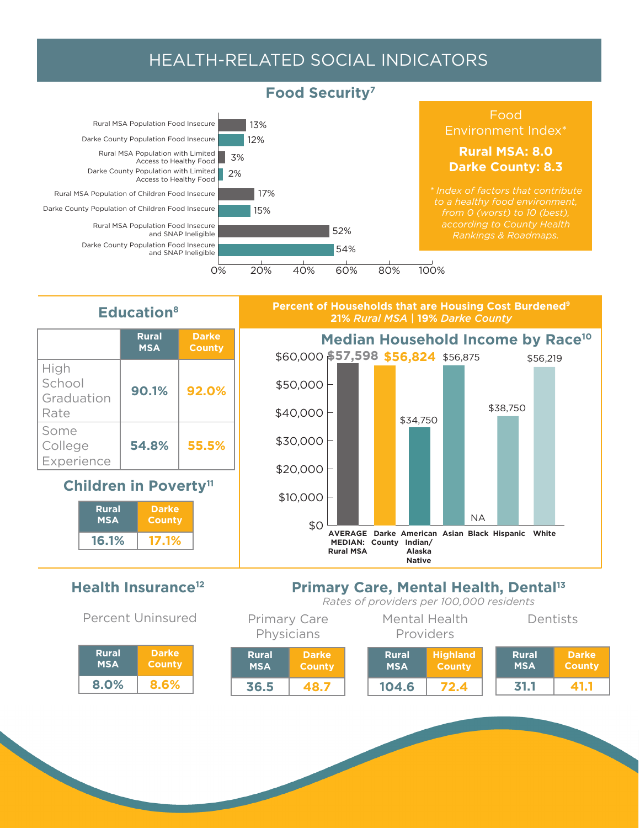# HEALTH-RELATED SOCIAL INDICATORS



# **Percent of Households that are Housing Cost Burdened9**



# **21%** *Rural MSA |* **19%** *Darke County*



# **Education8**

|                                      | <b>Rural</b><br><b>MSA</b> | <b>Darke</b><br><b>County</b> |
|--------------------------------------|----------------------------|-------------------------------|
| High<br>School<br>Graduation<br>Rate | 90.1%                      | 92.0%                         |
| Some<br>College<br>Experience        | 54.8%                      | 55.5%                         |

# **Children in Poverty<sup>11</sup>**

| <b>Rural</b><br><b>MSA</b> | <b>Darke</b><br><b>County</b> |  |
|----------------------------|-------------------------------|--|
| 16.1%                      |                               |  |

# **Health Insurance12**

Percent Uninsured

| <b>Rural</b> | <b>Darke</b>  |
|--------------|---------------|
| <b>MSA</b>   | <b>County</b> |
| 8.0%         | 8.6%          |

#### **Primary Care, Mental Health, Dental<sup>13</sup>** *Rates of providers per 100,000 residents*

| <b>Primary Care</b><br>Physicians |                               | <u>MULCS OF DIOVIDEIS DEL TOO,OOO I CSIUCHLS</u><br>Mental Health<br>Dentists<br>Providers |                            |                                  |                            |                               |
|-----------------------------------|-------------------------------|--------------------------------------------------------------------------------------------|----------------------------|----------------------------------|----------------------------|-------------------------------|
| <b>Rural</b><br><b>MSA</b>        | <b>Darke</b><br><b>County</b> |                                                                                            | <b>Rural</b><br><b>MSA</b> | <b>Highland</b><br><b>County</b> | <b>Rural</b><br><b>MSA</b> | <b>Darke</b><br><b>County</b> |
| 36.5                              | 48.7                          |                                                                                            | 104.6                      | 72.4                             | 31.1                       | 41.1                          |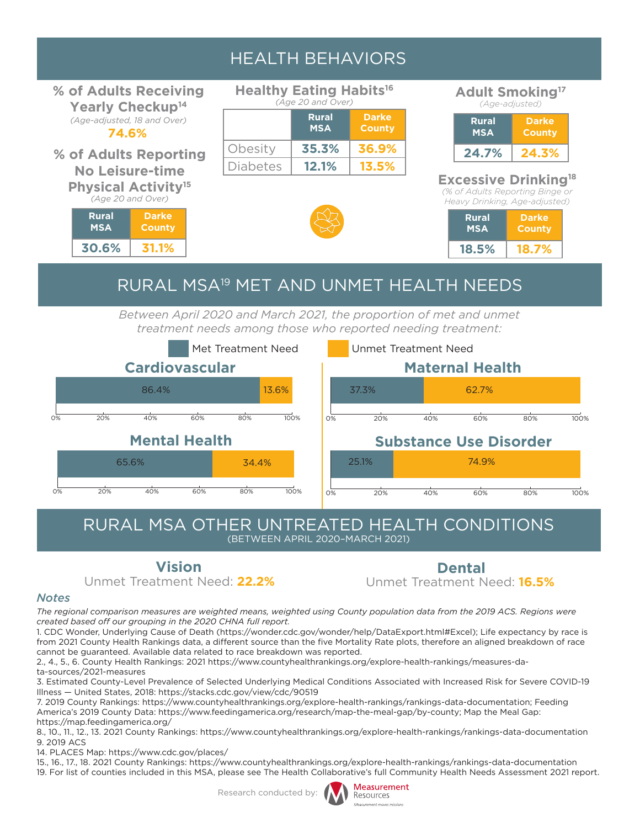# HEALTH BEHAVIORS

**% of Adults Receiving Yearly Checkup14** *(Age-adjusted, 18 and Over)*

**74.6%**

#### **% of Adults Reporting No Leisure-time Physical Activity15**

*(Age 20 and Over)*

| <b>Rural</b> | <b>Darke</b> |  |  |
|--------------|--------------|--|--|
| <b>MSA</b>   | County       |  |  |
| 30.6%        |              |  |  |

| <b>Healthy Eating Habits<sup>16</sup></b> |                   |                                            |
|-------------------------------------------|-------------------|--------------------------------------------|
|                                           | (Age 20 and Over) |                                            |
|                                           | --                | and the state of the state of the state of |

Г

|                 | <b>Rural</b><br><b>MSA</b> | <b>Darke</b><br><b>County</b> |
|-----------------|----------------------------|-------------------------------|
| Obesity         | 35.3%                      | 36.9%                         |
| <b>Diabetes</b> | 12.1%                      | 13.5%                         |

#### **Adult Smoking17** *(Age-adjusted)*

| <b>Rural</b><br><b>MSA</b> | Darke<br>County |
|----------------------------|-----------------|
| 24.7%                      | 24.39           |

## **Excessive Drinking18**

*(% of Adults Reporting Binge or Heavy Drinking, Age-adjusted)*

| <b>Rural</b> | <b>Darke</b>  |
|--------------|---------------|
| <b>MSA</b>   | <b>County</b> |
| 18.5%        | 18 79         |

# RURAL MSA19 MET AND UNMET HEALTH NEEDS

Between April 2020 and March 2021, the proportion of met and unmet *treatment needs among those who reported needing treatment:*



#### RURAL MSA OTHER UNTREATED HEALTH CONDITIONS (BETWEEN APRIL 2020–MARCH 2021)

**Vision Dental**

Unmet Treatment Need: **22.2%** Unmet Treatment Need: **16.5%**

#### *Notes*

*The regional comparison measures are weighted means, weighted using County population data from the 2019 ACS. Regions were created based off our grouping in the 2020 CHNA full report.* 

1. CDC Wonder, Underlying Cause of Death (https://wonder.cdc.gov/wonder/help/DataExport.html#Excel); Life expectancy by race is from 2021 County Health Rankings data, a different source than the five Mortality Rate plots, therefore an aligned breakdown of race cannot be guaranteed. Available data related to race breakdown was reported.

2., 4., 5., 6. County Health Rankings: 2021 https://www.countyhealthrankings.org/explore-health-rankings/measures-data-sources/2021-measures

3. Estimated County-Level Prevalence of Selected Underlying Medical Conditions Associated with Increased Risk for Severe COVID-19 Illness — United States, 2018: https://stacks.cdc.gov/view/cdc/90519

7. 2019 County Rankings: https://www.countyhealthrankings.org/explore-health-rankings/rankings-data-documentation; Feeding America's 2019 County Data: https://www.feedingamerica.org/research/map-the-meal-gap/by-county; Map the Meal Gap: https://map.feedingamerica.org/

8., 10., 11., 12., 13. 2021 County Rankings: https://www.countyhealthrankings.org/explore-health-rankings/rankings-data-documentation 9. 2019 ACS

14. PLACES Map: https://www.cdc.gov/places/

15., 16., 17., 18. 2021 County Rankings: https://www.countyhealthrankings.org/explore-health-rankings/rankings-data-documentation 19. For list of counties included in this MSA, please see The Health Collaborative's full Community Health Needs Assessment 2021 report.

Research conducted by: